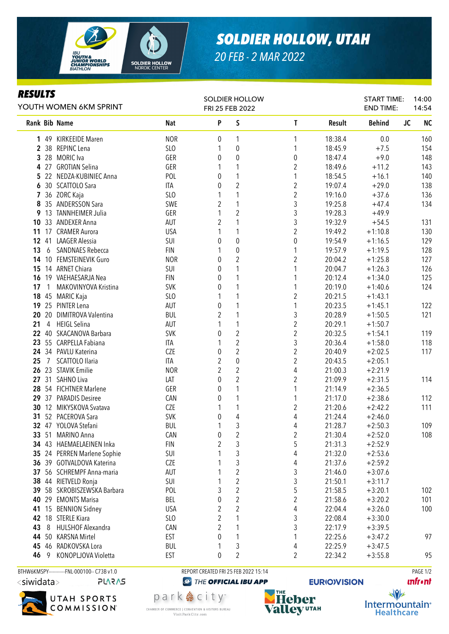

## *SOLDIER HOLLOW, UTAH*

*20 FEB - 2 MAR 2022*

## *RESULTS*

| P<br>$\sf S$<br>Rank Bib Name<br>$\mathbf{T}$<br><b>Behind</b><br><b>JC</b><br><b>NC</b><br>Nat<br>Result<br><b>NOR</b><br>1 49 KIRKEEIDE Maren<br>18:38.4<br>160<br>1<br>0.0<br>0<br>1<br>154<br>2 38 REPINC Lena<br>SLO<br>18:45.9<br>$+7.5$<br>0<br>1<br>1<br>$+9.0$<br>148<br>3 28 MORIC Iva<br>GER<br>0<br>0<br>18:47.4<br>0<br>2<br>4 27 GROTIAN Selina<br>GER<br>18:49.6<br>$+11.2$<br>143<br>1<br>1<br>POL<br>140<br>5 22 NEDZA-KUBINIEC Anna<br>1<br>1<br>18:54.5<br>$+16.1$<br>0<br>$\overline{c}$<br>$\boldsymbol{2}$<br>138<br>30 SCATTOLO Sara<br>ITA<br>0<br>19:07.4<br>$+29.0$<br>6<br>$\overline{c}$<br>SLO<br>7 36 ZORC Kaja<br>$+37.6$<br>136<br>1<br>1<br>19:16.0<br>3<br>SWE<br>$\overline{2}$<br>35 ANDERSSON Sara<br>1<br>$+47.4$<br>134<br>8<br>19:25.8<br>$\overline{2}$<br>3<br>13 TANNHEIMER Julia<br>GER<br>1<br>19:28.3<br>$+49.9$<br>9<br>3<br>$\overline{2}$<br>131<br>33 ANDEXER Anna<br><b>AUT</b><br>19:32.9<br>$+54.5$<br>10<br>$\overline{2}$<br>17 CRAMER Aurora<br><b>USA</b><br>1<br>19:49.2<br>$+1:10.8$<br>130<br>11<br>1<br>SUI<br>$\mathbf{0}$<br>0<br>129<br>41 LAAGER Alessia<br>19:54.9<br>$+1:16.5$<br>12 <sup>°</sup><br>0<br><b>FIN</b><br>128<br>13<br>6<br><b>SANDNAES Rebecca</b><br>$\boldsymbol{0}$<br>1<br>19:57.9<br>$+1:19.5$<br>1<br>$\overline{c}$<br>$\overline{2}$<br>127<br>10 FEMSTEINEVIK Guro<br><b>NOR</b><br>20:04.2<br>$+1:25.8$<br>14<br>0<br>14 ARNET Chiara<br>SUI<br>1<br>1<br>20:04.7<br>$+1:26.3$<br>126<br>15<br>0<br><b>FIN</b><br>125<br>16 19 VAEHAESARJA Nea<br>1<br>1<br>20:12.4<br>$+1:34.0$<br>0<br>124<br>MAKOVINYOVA Kristina<br><b>SVK</b><br>1<br>20:19.0<br>$+1:40.6$<br>17<br>$\mathbf{1}$<br>0<br>$\overline{2}$<br>SLO<br>20:21.5<br>$+1:43.1$<br>18 45 MARIC Kaja<br>1<br>1<br>1<br>122<br>19 25 PINTER Lena<br><b>AUT</b><br>0<br>20:23.5<br>$+1:45.1$<br>2<br>3<br>20 20 DIMITROVA Valentina<br><b>BUL</b><br>20:28.9<br>$+1:50.5$<br>121<br>$\overline{c}$<br>21<br>4 HEIGL Selina<br>AUT<br>20:29.1<br>$+1:50.7$<br>1<br>$\overline{c}$<br>$\overline{c}$<br>119<br>22 40 SKACANOVA Barbara<br><b>SVK</b><br>20:32.5<br>$+1:54.1$<br>0<br>$\overline{c}$<br>3<br>118<br>23 55 CARPELLA Fabiana<br><b>ITA</b><br>20:36.4<br>$+1:58.0$<br>1<br>$\overline{c}$<br>$\overline{c}$<br><b>CZE</b><br>24 34 PAVLU Katerina<br>20:40.9<br>$+2:02.5$<br>117<br>0<br>$\overline{2}$<br>$\overline{2}$<br>$\overline{7}$<br>SCATTOLO Ilaria<br><b>ITA</b><br>0<br>20:43.5<br>$+2:05.1$<br>25<br>$\overline{2}$<br>$\overline{c}$<br>26 23 STAVIK Emilie<br>$+2:21.9$<br><b>NOR</b><br>4<br>21:00.3<br>27 31 SAHNO Liva<br>2<br>$\overline{\mathbf{c}}$<br>$+2:31.5$<br>114<br>LAT<br>0<br>21:09.9<br>GER<br>28 54 FICHTNER Marlene<br>0<br>21:14.9<br>$+2:36.5$<br>29 37 PARADIS Desiree<br>112<br>CAN<br>$+2:38.6$<br>0<br>21:17.0<br>CZE<br>$\overline{2}$<br>30 12 MIKYSKOVA Svatava<br>21:20.6<br>$+2:42.2$<br>111<br>1<br>1<br>31 52 PACEROVA Sara<br><b>SVK</b><br>4<br>4<br>21:24.4<br>$+2:46.0$<br>0<br>3<br>32 47 YOLOVA Stefani<br><b>BUL</b><br>1<br>4<br>21:28.7<br>$+2:50.3$<br>109<br>33 51 MARINO Anna<br>CAN<br>$\overline{\mathbf{c}}$<br>108<br>$\boldsymbol{2}$<br>21:30.4<br>$+2:52.0$<br>0<br>$\overline{2}$<br>3<br>5<br>34 43 HAEMAELAEINEN Inka<br><b>FIN</b><br>21:31.3<br>$+2:52.9$<br>3<br>4<br>SUI<br>21:32.0<br>35 24 PERREN Marlene Sophie<br>1<br>$+2:53.6$<br>3<br>4<br>36 39 GOTVALDOVA Katerina<br><b>CZE</b><br>21:37.6<br>$+2:59.2$<br>$\overline{2}$<br>3<br>56 SCHREMPF Anna-maria<br><b>AUT</b><br>21:46.0<br>$+3:07.6$<br>37<br>$\overline{c}$<br>3<br>38<br>44 RIETVELD Ronja<br>SUI<br>21:50.1<br>$+3:11.7$<br>1<br>$\overline{2}$<br>5<br>3<br>102<br>39 58 SKROBISZEWSKA Barbara<br>POL<br>21:58.5<br>$+3:20.1$<br>$\overline{2}$<br>$\overline{c}$<br><b>EMONTS Marisa</b><br>BEL<br>0<br>101<br>21:58.6<br>$+3:20.2$<br>40<br>29<br>$\overline{2}$<br>2<br>4<br>15 BENNION Sidney<br><b>USA</b><br>22:04.4<br>$+3:26.0$<br>100<br>41<br>$\overline{2}$<br>3<br>42<br>18 STERLE Kiara<br>SLO<br>22:08.4<br>$+3:30.0$<br>3<br>2<br>HULSHOF Alexandra<br>22:17.9<br>43<br>8<br>CAN<br>$+3:39.5$<br><b>KARSNA Mirtel</b><br>EST<br>22:25.6<br>97<br>44 50<br>0<br>1<br>$+3:47.2$<br>RADKOVSKA Lora<br>3<br>4<br>22:25.9<br>45<br>46<br><b>BUL</b><br>$+3:47.5$<br>1<br>$\overline{2}$<br>46<br>KONOPLJOVA Violetta<br>EST<br>0<br>2<br>22:34.2<br>95<br>9<br>$+3:55.8$ | YOUTH WOMEN 6KM SPRINT | <b>SOLDIER HOLLOW</b><br>FRI 25 FEB 2022 |  |  |  | <b>START TIME:</b><br><b>END TIME:</b> | 14:00<br>14:54 |
|-----------------------------------------------------------------------------------------------------------------------------------------------------------------------------------------------------------------------------------------------------------------------------------------------------------------------------------------------------------------------------------------------------------------------------------------------------------------------------------------------------------------------------------------------------------------------------------------------------------------------------------------------------------------------------------------------------------------------------------------------------------------------------------------------------------------------------------------------------------------------------------------------------------------------------------------------------------------------------------------------------------------------------------------------------------------------------------------------------------------------------------------------------------------------------------------------------------------------------------------------------------------------------------------------------------------------------------------------------------------------------------------------------------------------------------------------------------------------------------------------------------------------------------------------------------------------------------------------------------------------------------------------------------------------------------------------------------------------------------------------------------------------------------------------------------------------------------------------------------------------------------------------------------------------------------------------------------------------------------------------------------------------------------------------------------------------------------------------------------------------------------------------------------------------------------------------------------------------------------------------------------------------------------------------------------------------------------------------------------------------------------------------------------------------------------------------------------------------------------------------------------------------------------------------------------------------------------------------------------------------------------------------------------------------------------------------------------------------------------------------------------------------------------------------------------------------------------------------------------------------------------------------------------------------------------------------------------------------------------------------------------------------------------------------------------------------------------------------------------------------------------------------------------------------------------------------------------------------------------------------------------------------------------------------------------------------------------------------------------------------------------------------------------------------------------------------------------------------------------------------------------------------------------------------------------------------------------------------------------------------------------------------------------------------------------------------------------------------------------------------------------------------------------------------------------------------------------------------------------------------------------------------------------------------------------------------------------------------------------------------------------------------------------------------------------------------------------------------------------------------------------------------------------------------------------------------------------------------------------------------------------------------------------------------------------------------------------------------------------------------------------------------------|------------------------|------------------------------------------|--|--|--|----------------------------------------|----------------|
|                                                                                                                                                                                                                                                                                                                                                                                                                                                                                                                                                                                                                                                                                                                                                                                                                                                                                                                                                                                                                                                                                                                                                                                                                                                                                                                                                                                                                                                                                                                                                                                                                                                                                                                                                                                                                                                                                                                                                                                                                                                                                                                                                                                                                                                                                                                                                                                                                                                                                                                                                                                                                                                                                                                                                                                                                                                                                                                                                                                                                                                                                                                                                                                                                                                                                                                                                                                                                                                                                                                                                                                                                                                                                                                                                                                                                                                                                                                                                                                                                                                                                                                                                                                                                                                                                                                                                                                                     |                        |                                          |  |  |  |                                        |                |
|                                                                                                                                                                                                                                                                                                                                                                                                                                                                                                                                                                                                                                                                                                                                                                                                                                                                                                                                                                                                                                                                                                                                                                                                                                                                                                                                                                                                                                                                                                                                                                                                                                                                                                                                                                                                                                                                                                                                                                                                                                                                                                                                                                                                                                                                                                                                                                                                                                                                                                                                                                                                                                                                                                                                                                                                                                                                                                                                                                                                                                                                                                                                                                                                                                                                                                                                                                                                                                                                                                                                                                                                                                                                                                                                                                                                                                                                                                                                                                                                                                                                                                                                                                                                                                                                                                                                                                                                     |                        |                                          |  |  |  |                                        |                |
|                                                                                                                                                                                                                                                                                                                                                                                                                                                                                                                                                                                                                                                                                                                                                                                                                                                                                                                                                                                                                                                                                                                                                                                                                                                                                                                                                                                                                                                                                                                                                                                                                                                                                                                                                                                                                                                                                                                                                                                                                                                                                                                                                                                                                                                                                                                                                                                                                                                                                                                                                                                                                                                                                                                                                                                                                                                                                                                                                                                                                                                                                                                                                                                                                                                                                                                                                                                                                                                                                                                                                                                                                                                                                                                                                                                                                                                                                                                                                                                                                                                                                                                                                                                                                                                                                                                                                                                                     |                        |                                          |  |  |  |                                        |                |
|                                                                                                                                                                                                                                                                                                                                                                                                                                                                                                                                                                                                                                                                                                                                                                                                                                                                                                                                                                                                                                                                                                                                                                                                                                                                                                                                                                                                                                                                                                                                                                                                                                                                                                                                                                                                                                                                                                                                                                                                                                                                                                                                                                                                                                                                                                                                                                                                                                                                                                                                                                                                                                                                                                                                                                                                                                                                                                                                                                                                                                                                                                                                                                                                                                                                                                                                                                                                                                                                                                                                                                                                                                                                                                                                                                                                                                                                                                                                                                                                                                                                                                                                                                                                                                                                                                                                                                                                     |                        |                                          |  |  |  |                                        |                |
|                                                                                                                                                                                                                                                                                                                                                                                                                                                                                                                                                                                                                                                                                                                                                                                                                                                                                                                                                                                                                                                                                                                                                                                                                                                                                                                                                                                                                                                                                                                                                                                                                                                                                                                                                                                                                                                                                                                                                                                                                                                                                                                                                                                                                                                                                                                                                                                                                                                                                                                                                                                                                                                                                                                                                                                                                                                                                                                                                                                                                                                                                                                                                                                                                                                                                                                                                                                                                                                                                                                                                                                                                                                                                                                                                                                                                                                                                                                                                                                                                                                                                                                                                                                                                                                                                                                                                                                                     |                        |                                          |  |  |  |                                        |                |
|                                                                                                                                                                                                                                                                                                                                                                                                                                                                                                                                                                                                                                                                                                                                                                                                                                                                                                                                                                                                                                                                                                                                                                                                                                                                                                                                                                                                                                                                                                                                                                                                                                                                                                                                                                                                                                                                                                                                                                                                                                                                                                                                                                                                                                                                                                                                                                                                                                                                                                                                                                                                                                                                                                                                                                                                                                                                                                                                                                                                                                                                                                                                                                                                                                                                                                                                                                                                                                                                                                                                                                                                                                                                                                                                                                                                                                                                                                                                                                                                                                                                                                                                                                                                                                                                                                                                                                                                     |                        |                                          |  |  |  |                                        |                |
|                                                                                                                                                                                                                                                                                                                                                                                                                                                                                                                                                                                                                                                                                                                                                                                                                                                                                                                                                                                                                                                                                                                                                                                                                                                                                                                                                                                                                                                                                                                                                                                                                                                                                                                                                                                                                                                                                                                                                                                                                                                                                                                                                                                                                                                                                                                                                                                                                                                                                                                                                                                                                                                                                                                                                                                                                                                                                                                                                                                                                                                                                                                                                                                                                                                                                                                                                                                                                                                                                                                                                                                                                                                                                                                                                                                                                                                                                                                                                                                                                                                                                                                                                                                                                                                                                                                                                                                                     |                        |                                          |  |  |  |                                        |                |
|                                                                                                                                                                                                                                                                                                                                                                                                                                                                                                                                                                                                                                                                                                                                                                                                                                                                                                                                                                                                                                                                                                                                                                                                                                                                                                                                                                                                                                                                                                                                                                                                                                                                                                                                                                                                                                                                                                                                                                                                                                                                                                                                                                                                                                                                                                                                                                                                                                                                                                                                                                                                                                                                                                                                                                                                                                                                                                                                                                                                                                                                                                                                                                                                                                                                                                                                                                                                                                                                                                                                                                                                                                                                                                                                                                                                                                                                                                                                                                                                                                                                                                                                                                                                                                                                                                                                                                                                     |                        |                                          |  |  |  |                                        |                |
|                                                                                                                                                                                                                                                                                                                                                                                                                                                                                                                                                                                                                                                                                                                                                                                                                                                                                                                                                                                                                                                                                                                                                                                                                                                                                                                                                                                                                                                                                                                                                                                                                                                                                                                                                                                                                                                                                                                                                                                                                                                                                                                                                                                                                                                                                                                                                                                                                                                                                                                                                                                                                                                                                                                                                                                                                                                                                                                                                                                                                                                                                                                                                                                                                                                                                                                                                                                                                                                                                                                                                                                                                                                                                                                                                                                                                                                                                                                                                                                                                                                                                                                                                                                                                                                                                                                                                                                                     |                        |                                          |  |  |  |                                        |                |
|                                                                                                                                                                                                                                                                                                                                                                                                                                                                                                                                                                                                                                                                                                                                                                                                                                                                                                                                                                                                                                                                                                                                                                                                                                                                                                                                                                                                                                                                                                                                                                                                                                                                                                                                                                                                                                                                                                                                                                                                                                                                                                                                                                                                                                                                                                                                                                                                                                                                                                                                                                                                                                                                                                                                                                                                                                                                                                                                                                                                                                                                                                                                                                                                                                                                                                                                                                                                                                                                                                                                                                                                                                                                                                                                                                                                                                                                                                                                                                                                                                                                                                                                                                                                                                                                                                                                                                                                     |                        |                                          |  |  |  |                                        |                |
|                                                                                                                                                                                                                                                                                                                                                                                                                                                                                                                                                                                                                                                                                                                                                                                                                                                                                                                                                                                                                                                                                                                                                                                                                                                                                                                                                                                                                                                                                                                                                                                                                                                                                                                                                                                                                                                                                                                                                                                                                                                                                                                                                                                                                                                                                                                                                                                                                                                                                                                                                                                                                                                                                                                                                                                                                                                                                                                                                                                                                                                                                                                                                                                                                                                                                                                                                                                                                                                                                                                                                                                                                                                                                                                                                                                                                                                                                                                                                                                                                                                                                                                                                                                                                                                                                                                                                                                                     |                        |                                          |  |  |  |                                        |                |
|                                                                                                                                                                                                                                                                                                                                                                                                                                                                                                                                                                                                                                                                                                                                                                                                                                                                                                                                                                                                                                                                                                                                                                                                                                                                                                                                                                                                                                                                                                                                                                                                                                                                                                                                                                                                                                                                                                                                                                                                                                                                                                                                                                                                                                                                                                                                                                                                                                                                                                                                                                                                                                                                                                                                                                                                                                                                                                                                                                                                                                                                                                                                                                                                                                                                                                                                                                                                                                                                                                                                                                                                                                                                                                                                                                                                                                                                                                                                                                                                                                                                                                                                                                                                                                                                                                                                                                                                     |                        |                                          |  |  |  |                                        |                |
|                                                                                                                                                                                                                                                                                                                                                                                                                                                                                                                                                                                                                                                                                                                                                                                                                                                                                                                                                                                                                                                                                                                                                                                                                                                                                                                                                                                                                                                                                                                                                                                                                                                                                                                                                                                                                                                                                                                                                                                                                                                                                                                                                                                                                                                                                                                                                                                                                                                                                                                                                                                                                                                                                                                                                                                                                                                                                                                                                                                                                                                                                                                                                                                                                                                                                                                                                                                                                                                                                                                                                                                                                                                                                                                                                                                                                                                                                                                                                                                                                                                                                                                                                                                                                                                                                                                                                                                                     |                        |                                          |  |  |  |                                        |                |
|                                                                                                                                                                                                                                                                                                                                                                                                                                                                                                                                                                                                                                                                                                                                                                                                                                                                                                                                                                                                                                                                                                                                                                                                                                                                                                                                                                                                                                                                                                                                                                                                                                                                                                                                                                                                                                                                                                                                                                                                                                                                                                                                                                                                                                                                                                                                                                                                                                                                                                                                                                                                                                                                                                                                                                                                                                                                                                                                                                                                                                                                                                                                                                                                                                                                                                                                                                                                                                                                                                                                                                                                                                                                                                                                                                                                                                                                                                                                                                                                                                                                                                                                                                                                                                                                                                                                                                                                     |                        |                                          |  |  |  |                                        |                |
|                                                                                                                                                                                                                                                                                                                                                                                                                                                                                                                                                                                                                                                                                                                                                                                                                                                                                                                                                                                                                                                                                                                                                                                                                                                                                                                                                                                                                                                                                                                                                                                                                                                                                                                                                                                                                                                                                                                                                                                                                                                                                                                                                                                                                                                                                                                                                                                                                                                                                                                                                                                                                                                                                                                                                                                                                                                                                                                                                                                                                                                                                                                                                                                                                                                                                                                                                                                                                                                                                                                                                                                                                                                                                                                                                                                                                                                                                                                                                                                                                                                                                                                                                                                                                                                                                                                                                                                                     |                        |                                          |  |  |  |                                        |                |
|                                                                                                                                                                                                                                                                                                                                                                                                                                                                                                                                                                                                                                                                                                                                                                                                                                                                                                                                                                                                                                                                                                                                                                                                                                                                                                                                                                                                                                                                                                                                                                                                                                                                                                                                                                                                                                                                                                                                                                                                                                                                                                                                                                                                                                                                                                                                                                                                                                                                                                                                                                                                                                                                                                                                                                                                                                                                                                                                                                                                                                                                                                                                                                                                                                                                                                                                                                                                                                                                                                                                                                                                                                                                                                                                                                                                                                                                                                                                                                                                                                                                                                                                                                                                                                                                                                                                                                                                     |                        |                                          |  |  |  |                                        |                |
|                                                                                                                                                                                                                                                                                                                                                                                                                                                                                                                                                                                                                                                                                                                                                                                                                                                                                                                                                                                                                                                                                                                                                                                                                                                                                                                                                                                                                                                                                                                                                                                                                                                                                                                                                                                                                                                                                                                                                                                                                                                                                                                                                                                                                                                                                                                                                                                                                                                                                                                                                                                                                                                                                                                                                                                                                                                                                                                                                                                                                                                                                                                                                                                                                                                                                                                                                                                                                                                                                                                                                                                                                                                                                                                                                                                                                                                                                                                                                                                                                                                                                                                                                                                                                                                                                                                                                                                                     |                        |                                          |  |  |  |                                        |                |
|                                                                                                                                                                                                                                                                                                                                                                                                                                                                                                                                                                                                                                                                                                                                                                                                                                                                                                                                                                                                                                                                                                                                                                                                                                                                                                                                                                                                                                                                                                                                                                                                                                                                                                                                                                                                                                                                                                                                                                                                                                                                                                                                                                                                                                                                                                                                                                                                                                                                                                                                                                                                                                                                                                                                                                                                                                                                                                                                                                                                                                                                                                                                                                                                                                                                                                                                                                                                                                                                                                                                                                                                                                                                                                                                                                                                                                                                                                                                                                                                                                                                                                                                                                                                                                                                                                                                                                                                     |                        |                                          |  |  |  |                                        |                |
|                                                                                                                                                                                                                                                                                                                                                                                                                                                                                                                                                                                                                                                                                                                                                                                                                                                                                                                                                                                                                                                                                                                                                                                                                                                                                                                                                                                                                                                                                                                                                                                                                                                                                                                                                                                                                                                                                                                                                                                                                                                                                                                                                                                                                                                                                                                                                                                                                                                                                                                                                                                                                                                                                                                                                                                                                                                                                                                                                                                                                                                                                                                                                                                                                                                                                                                                                                                                                                                                                                                                                                                                                                                                                                                                                                                                                                                                                                                                                                                                                                                                                                                                                                                                                                                                                                                                                                                                     |                        |                                          |  |  |  |                                        |                |
|                                                                                                                                                                                                                                                                                                                                                                                                                                                                                                                                                                                                                                                                                                                                                                                                                                                                                                                                                                                                                                                                                                                                                                                                                                                                                                                                                                                                                                                                                                                                                                                                                                                                                                                                                                                                                                                                                                                                                                                                                                                                                                                                                                                                                                                                                                                                                                                                                                                                                                                                                                                                                                                                                                                                                                                                                                                                                                                                                                                                                                                                                                                                                                                                                                                                                                                                                                                                                                                                                                                                                                                                                                                                                                                                                                                                                                                                                                                                                                                                                                                                                                                                                                                                                                                                                                                                                                                                     |                        |                                          |  |  |  |                                        |                |
|                                                                                                                                                                                                                                                                                                                                                                                                                                                                                                                                                                                                                                                                                                                                                                                                                                                                                                                                                                                                                                                                                                                                                                                                                                                                                                                                                                                                                                                                                                                                                                                                                                                                                                                                                                                                                                                                                                                                                                                                                                                                                                                                                                                                                                                                                                                                                                                                                                                                                                                                                                                                                                                                                                                                                                                                                                                                                                                                                                                                                                                                                                                                                                                                                                                                                                                                                                                                                                                                                                                                                                                                                                                                                                                                                                                                                                                                                                                                                                                                                                                                                                                                                                                                                                                                                                                                                                                                     |                        |                                          |  |  |  |                                        |                |
|                                                                                                                                                                                                                                                                                                                                                                                                                                                                                                                                                                                                                                                                                                                                                                                                                                                                                                                                                                                                                                                                                                                                                                                                                                                                                                                                                                                                                                                                                                                                                                                                                                                                                                                                                                                                                                                                                                                                                                                                                                                                                                                                                                                                                                                                                                                                                                                                                                                                                                                                                                                                                                                                                                                                                                                                                                                                                                                                                                                                                                                                                                                                                                                                                                                                                                                                                                                                                                                                                                                                                                                                                                                                                                                                                                                                                                                                                                                                                                                                                                                                                                                                                                                                                                                                                                                                                                                                     |                        |                                          |  |  |  |                                        |                |
|                                                                                                                                                                                                                                                                                                                                                                                                                                                                                                                                                                                                                                                                                                                                                                                                                                                                                                                                                                                                                                                                                                                                                                                                                                                                                                                                                                                                                                                                                                                                                                                                                                                                                                                                                                                                                                                                                                                                                                                                                                                                                                                                                                                                                                                                                                                                                                                                                                                                                                                                                                                                                                                                                                                                                                                                                                                                                                                                                                                                                                                                                                                                                                                                                                                                                                                                                                                                                                                                                                                                                                                                                                                                                                                                                                                                                                                                                                                                                                                                                                                                                                                                                                                                                                                                                                                                                                                                     |                        |                                          |  |  |  |                                        |                |
|                                                                                                                                                                                                                                                                                                                                                                                                                                                                                                                                                                                                                                                                                                                                                                                                                                                                                                                                                                                                                                                                                                                                                                                                                                                                                                                                                                                                                                                                                                                                                                                                                                                                                                                                                                                                                                                                                                                                                                                                                                                                                                                                                                                                                                                                                                                                                                                                                                                                                                                                                                                                                                                                                                                                                                                                                                                                                                                                                                                                                                                                                                                                                                                                                                                                                                                                                                                                                                                                                                                                                                                                                                                                                                                                                                                                                                                                                                                                                                                                                                                                                                                                                                                                                                                                                                                                                                                                     |                        |                                          |  |  |  |                                        |                |
|                                                                                                                                                                                                                                                                                                                                                                                                                                                                                                                                                                                                                                                                                                                                                                                                                                                                                                                                                                                                                                                                                                                                                                                                                                                                                                                                                                                                                                                                                                                                                                                                                                                                                                                                                                                                                                                                                                                                                                                                                                                                                                                                                                                                                                                                                                                                                                                                                                                                                                                                                                                                                                                                                                                                                                                                                                                                                                                                                                                                                                                                                                                                                                                                                                                                                                                                                                                                                                                                                                                                                                                                                                                                                                                                                                                                                                                                                                                                                                                                                                                                                                                                                                                                                                                                                                                                                                                                     |                        |                                          |  |  |  |                                        |                |
|                                                                                                                                                                                                                                                                                                                                                                                                                                                                                                                                                                                                                                                                                                                                                                                                                                                                                                                                                                                                                                                                                                                                                                                                                                                                                                                                                                                                                                                                                                                                                                                                                                                                                                                                                                                                                                                                                                                                                                                                                                                                                                                                                                                                                                                                                                                                                                                                                                                                                                                                                                                                                                                                                                                                                                                                                                                                                                                                                                                                                                                                                                                                                                                                                                                                                                                                                                                                                                                                                                                                                                                                                                                                                                                                                                                                                                                                                                                                                                                                                                                                                                                                                                                                                                                                                                                                                                                                     |                        |                                          |  |  |  |                                        |                |
|                                                                                                                                                                                                                                                                                                                                                                                                                                                                                                                                                                                                                                                                                                                                                                                                                                                                                                                                                                                                                                                                                                                                                                                                                                                                                                                                                                                                                                                                                                                                                                                                                                                                                                                                                                                                                                                                                                                                                                                                                                                                                                                                                                                                                                                                                                                                                                                                                                                                                                                                                                                                                                                                                                                                                                                                                                                                                                                                                                                                                                                                                                                                                                                                                                                                                                                                                                                                                                                                                                                                                                                                                                                                                                                                                                                                                                                                                                                                                                                                                                                                                                                                                                                                                                                                                                                                                                                                     |                        |                                          |  |  |  |                                        |                |
|                                                                                                                                                                                                                                                                                                                                                                                                                                                                                                                                                                                                                                                                                                                                                                                                                                                                                                                                                                                                                                                                                                                                                                                                                                                                                                                                                                                                                                                                                                                                                                                                                                                                                                                                                                                                                                                                                                                                                                                                                                                                                                                                                                                                                                                                                                                                                                                                                                                                                                                                                                                                                                                                                                                                                                                                                                                                                                                                                                                                                                                                                                                                                                                                                                                                                                                                                                                                                                                                                                                                                                                                                                                                                                                                                                                                                                                                                                                                                                                                                                                                                                                                                                                                                                                                                                                                                                                                     |                        |                                          |  |  |  |                                        |                |
|                                                                                                                                                                                                                                                                                                                                                                                                                                                                                                                                                                                                                                                                                                                                                                                                                                                                                                                                                                                                                                                                                                                                                                                                                                                                                                                                                                                                                                                                                                                                                                                                                                                                                                                                                                                                                                                                                                                                                                                                                                                                                                                                                                                                                                                                                                                                                                                                                                                                                                                                                                                                                                                                                                                                                                                                                                                                                                                                                                                                                                                                                                                                                                                                                                                                                                                                                                                                                                                                                                                                                                                                                                                                                                                                                                                                                                                                                                                                                                                                                                                                                                                                                                                                                                                                                                                                                                                                     |                        |                                          |  |  |  |                                        |                |
|                                                                                                                                                                                                                                                                                                                                                                                                                                                                                                                                                                                                                                                                                                                                                                                                                                                                                                                                                                                                                                                                                                                                                                                                                                                                                                                                                                                                                                                                                                                                                                                                                                                                                                                                                                                                                                                                                                                                                                                                                                                                                                                                                                                                                                                                                                                                                                                                                                                                                                                                                                                                                                                                                                                                                                                                                                                                                                                                                                                                                                                                                                                                                                                                                                                                                                                                                                                                                                                                                                                                                                                                                                                                                                                                                                                                                                                                                                                                                                                                                                                                                                                                                                                                                                                                                                                                                                                                     |                        |                                          |  |  |  |                                        |                |
|                                                                                                                                                                                                                                                                                                                                                                                                                                                                                                                                                                                                                                                                                                                                                                                                                                                                                                                                                                                                                                                                                                                                                                                                                                                                                                                                                                                                                                                                                                                                                                                                                                                                                                                                                                                                                                                                                                                                                                                                                                                                                                                                                                                                                                                                                                                                                                                                                                                                                                                                                                                                                                                                                                                                                                                                                                                                                                                                                                                                                                                                                                                                                                                                                                                                                                                                                                                                                                                                                                                                                                                                                                                                                                                                                                                                                                                                                                                                                                                                                                                                                                                                                                                                                                                                                                                                                                                                     |                        |                                          |  |  |  |                                        |                |
|                                                                                                                                                                                                                                                                                                                                                                                                                                                                                                                                                                                                                                                                                                                                                                                                                                                                                                                                                                                                                                                                                                                                                                                                                                                                                                                                                                                                                                                                                                                                                                                                                                                                                                                                                                                                                                                                                                                                                                                                                                                                                                                                                                                                                                                                                                                                                                                                                                                                                                                                                                                                                                                                                                                                                                                                                                                                                                                                                                                                                                                                                                                                                                                                                                                                                                                                                                                                                                                                                                                                                                                                                                                                                                                                                                                                                                                                                                                                                                                                                                                                                                                                                                                                                                                                                                                                                                                                     |                        |                                          |  |  |  |                                        |                |
|                                                                                                                                                                                                                                                                                                                                                                                                                                                                                                                                                                                                                                                                                                                                                                                                                                                                                                                                                                                                                                                                                                                                                                                                                                                                                                                                                                                                                                                                                                                                                                                                                                                                                                                                                                                                                                                                                                                                                                                                                                                                                                                                                                                                                                                                                                                                                                                                                                                                                                                                                                                                                                                                                                                                                                                                                                                                                                                                                                                                                                                                                                                                                                                                                                                                                                                                                                                                                                                                                                                                                                                                                                                                                                                                                                                                                                                                                                                                                                                                                                                                                                                                                                                                                                                                                                                                                                                                     |                        |                                          |  |  |  |                                        |                |
|                                                                                                                                                                                                                                                                                                                                                                                                                                                                                                                                                                                                                                                                                                                                                                                                                                                                                                                                                                                                                                                                                                                                                                                                                                                                                                                                                                                                                                                                                                                                                                                                                                                                                                                                                                                                                                                                                                                                                                                                                                                                                                                                                                                                                                                                                                                                                                                                                                                                                                                                                                                                                                                                                                                                                                                                                                                                                                                                                                                                                                                                                                                                                                                                                                                                                                                                                                                                                                                                                                                                                                                                                                                                                                                                                                                                                                                                                                                                                                                                                                                                                                                                                                                                                                                                                                                                                                                                     |                        |                                          |  |  |  |                                        |                |
|                                                                                                                                                                                                                                                                                                                                                                                                                                                                                                                                                                                                                                                                                                                                                                                                                                                                                                                                                                                                                                                                                                                                                                                                                                                                                                                                                                                                                                                                                                                                                                                                                                                                                                                                                                                                                                                                                                                                                                                                                                                                                                                                                                                                                                                                                                                                                                                                                                                                                                                                                                                                                                                                                                                                                                                                                                                                                                                                                                                                                                                                                                                                                                                                                                                                                                                                                                                                                                                                                                                                                                                                                                                                                                                                                                                                                                                                                                                                                                                                                                                                                                                                                                                                                                                                                                                                                                                                     |                        |                                          |  |  |  |                                        |                |
|                                                                                                                                                                                                                                                                                                                                                                                                                                                                                                                                                                                                                                                                                                                                                                                                                                                                                                                                                                                                                                                                                                                                                                                                                                                                                                                                                                                                                                                                                                                                                                                                                                                                                                                                                                                                                                                                                                                                                                                                                                                                                                                                                                                                                                                                                                                                                                                                                                                                                                                                                                                                                                                                                                                                                                                                                                                                                                                                                                                                                                                                                                                                                                                                                                                                                                                                                                                                                                                                                                                                                                                                                                                                                                                                                                                                                                                                                                                                                                                                                                                                                                                                                                                                                                                                                                                                                                                                     |                        |                                          |  |  |  |                                        |                |
|                                                                                                                                                                                                                                                                                                                                                                                                                                                                                                                                                                                                                                                                                                                                                                                                                                                                                                                                                                                                                                                                                                                                                                                                                                                                                                                                                                                                                                                                                                                                                                                                                                                                                                                                                                                                                                                                                                                                                                                                                                                                                                                                                                                                                                                                                                                                                                                                                                                                                                                                                                                                                                                                                                                                                                                                                                                                                                                                                                                                                                                                                                                                                                                                                                                                                                                                                                                                                                                                                                                                                                                                                                                                                                                                                                                                                                                                                                                                                                                                                                                                                                                                                                                                                                                                                                                                                                                                     |                        |                                          |  |  |  |                                        |                |
|                                                                                                                                                                                                                                                                                                                                                                                                                                                                                                                                                                                                                                                                                                                                                                                                                                                                                                                                                                                                                                                                                                                                                                                                                                                                                                                                                                                                                                                                                                                                                                                                                                                                                                                                                                                                                                                                                                                                                                                                                                                                                                                                                                                                                                                                                                                                                                                                                                                                                                                                                                                                                                                                                                                                                                                                                                                                                                                                                                                                                                                                                                                                                                                                                                                                                                                                                                                                                                                                                                                                                                                                                                                                                                                                                                                                                                                                                                                                                                                                                                                                                                                                                                                                                                                                                                                                                                                                     |                        |                                          |  |  |  |                                        |                |
|                                                                                                                                                                                                                                                                                                                                                                                                                                                                                                                                                                                                                                                                                                                                                                                                                                                                                                                                                                                                                                                                                                                                                                                                                                                                                                                                                                                                                                                                                                                                                                                                                                                                                                                                                                                                                                                                                                                                                                                                                                                                                                                                                                                                                                                                                                                                                                                                                                                                                                                                                                                                                                                                                                                                                                                                                                                                                                                                                                                                                                                                                                                                                                                                                                                                                                                                                                                                                                                                                                                                                                                                                                                                                                                                                                                                                                                                                                                                                                                                                                                                                                                                                                                                                                                                                                                                                                                                     |                        |                                          |  |  |  |                                        |                |
|                                                                                                                                                                                                                                                                                                                                                                                                                                                                                                                                                                                                                                                                                                                                                                                                                                                                                                                                                                                                                                                                                                                                                                                                                                                                                                                                                                                                                                                                                                                                                                                                                                                                                                                                                                                                                                                                                                                                                                                                                                                                                                                                                                                                                                                                                                                                                                                                                                                                                                                                                                                                                                                                                                                                                                                                                                                                                                                                                                                                                                                                                                                                                                                                                                                                                                                                                                                                                                                                                                                                                                                                                                                                                                                                                                                                                                                                                                                                                                                                                                                                                                                                                                                                                                                                                                                                                                                                     |                        |                                          |  |  |  |                                        |                |
|                                                                                                                                                                                                                                                                                                                                                                                                                                                                                                                                                                                                                                                                                                                                                                                                                                                                                                                                                                                                                                                                                                                                                                                                                                                                                                                                                                                                                                                                                                                                                                                                                                                                                                                                                                                                                                                                                                                                                                                                                                                                                                                                                                                                                                                                                                                                                                                                                                                                                                                                                                                                                                                                                                                                                                                                                                                                                                                                                                                                                                                                                                                                                                                                                                                                                                                                                                                                                                                                                                                                                                                                                                                                                                                                                                                                                                                                                                                                                                                                                                                                                                                                                                                                                                                                                                                                                                                                     |                        |                                          |  |  |  |                                        |                |
|                                                                                                                                                                                                                                                                                                                                                                                                                                                                                                                                                                                                                                                                                                                                                                                                                                                                                                                                                                                                                                                                                                                                                                                                                                                                                                                                                                                                                                                                                                                                                                                                                                                                                                                                                                                                                                                                                                                                                                                                                                                                                                                                                                                                                                                                                                                                                                                                                                                                                                                                                                                                                                                                                                                                                                                                                                                                                                                                                                                                                                                                                                                                                                                                                                                                                                                                                                                                                                                                                                                                                                                                                                                                                                                                                                                                                                                                                                                                                                                                                                                                                                                                                                                                                                                                                                                                                                                                     |                        |                                          |  |  |  |                                        |                |
|                                                                                                                                                                                                                                                                                                                                                                                                                                                                                                                                                                                                                                                                                                                                                                                                                                                                                                                                                                                                                                                                                                                                                                                                                                                                                                                                                                                                                                                                                                                                                                                                                                                                                                                                                                                                                                                                                                                                                                                                                                                                                                                                                                                                                                                                                                                                                                                                                                                                                                                                                                                                                                                                                                                                                                                                                                                                                                                                                                                                                                                                                                                                                                                                                                                                                                                                                                                                                                                                                                                                                                                                                                                                                                                                                                                                                                                                                                                                                                                                                                                                                                                                                                                                                                                                                                                                                                                                     |                        |                                          |  |  |  |                                        |                |
|                                                                                                                                                                                                                                                                                                                                                                                                                                                                                                                                                                                                                                                                                                                                                                                                                                                                                                                                                                                                                                                                                                                                                                                                                                                                                                                                                                                                                                                                                                                                                                                                                                                                                                                                                                                                                                                                                                                                                                                                                                                                                                                                                                                                                                                                                                                                                                                                                                                                                                                                                                                                                                                                                                                                                                                                                                                                                                                                                                                                                                                                                                                                                                                                                                                                                                                                                                                                                                                                                                                                                                                                                                                                                                                                                                                                                                                                                                                                                                                                                                                                                                                                                                                                                                                                                                                                                                                                     |                        |                                          |  |  |  |                                        |                |
|                                                                                                                                                                                                                                                                                                                                                                                                                                                                                                                                                                                                                                                                                                                                                                                                                                                                                                                                                                                                                                                                                                                                                                                                                                                                                                                                                                                                                                                                                                                                                                                                                                                                                                                                                                                                                                                                                                                                                                                                                                                                                                                                                                                                                                                                                                                                                                                                                                                                                                                                                                                                                                                                                                                                                                                                                                                                                                                                                                                                                                                                                                                                                                                                                                                                                                                                                                                                                                                                                                                                                                                                                                                                                                                                                                                                                                                                                                                                                                                                                                                                                                                                                                                                                                                                                                                                                                                                     |                        |                                          |  |  |  |                                        |                |
|                                                                                                                                                                                                                                                                                                                                                                                                                                                                                                                                                                                                                                                                                                                                                                                                                                                                                                                                                                                                                                                                                                                                                                                                                                                                                                                                                                                                                                                                                                                                                                                                                                                                                                                                                                                                                                                                                                                                                                                                                                                                                                                                                                                                                                                                                                                                                                                                                                                                                                                                                                                                                                                                                                                                                                                                                                                                                                                                                                                                                                                                                                                                                                                                                                                                                                                                                                                                                                                                                                                                                                                                                                                                                                                                                                                                                                                                                                                                                                                                                                                                                                                                                                                                                                                                                                                                                                                                     |                        |                                          |  |  |  |                                        |                |
|                                                                                                                                                                                                                                                                                                                                                                                                                                                                                                                                                                                                                                                                                                                                                                                                                                                                                                                                                                                                                                                                                                                                                                                                                                                                                                                                                                                                                                                                                                                                                                                                                                                                                                                                                                                                                                                                                                                                                                                                                                                                                                                                                                                                                                                                                                                                                                                                                                                                                                                                                                                                                                                                                                                                                                                                                                                                                                                                                                                                                                                                                                                                                                                                                                                                                                                                                                                                                                                                                                                                                                                                                                                                                                                                                                                                                                                                                                                                                                                                                                                                                                                                                                                                                                                                                                                                                                                                     |                        |                                          |  |  |  |                                        |                |

BTHW6KMSPY-----------FNL-000100-- C73B v1.0 REPORT CREATED FRI 25 FEB 2022 15:14 PAGE 1/2



**PLARAS** 



park 急 city<sup>®</sup>

CHAMBER OF COMMERCE | CONVENTION & VISITORS BUREAU

Visit Park City.com

<sup><sup>2</sup> THE OFFICIAL IBU APP</sup>



**unfront** 

 $\sqrt{v}$ Intermountain<sup>®</sup> **Healthcare**